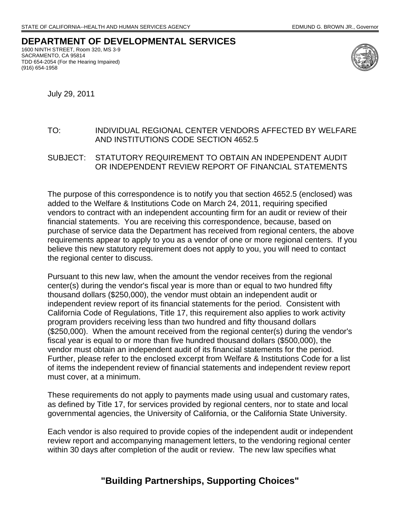## **DEPARTMENT OF DEVELOPMENTAL SERVICES**

1600 NINTH STREET, Room 320, MS 3-9 SACRAMENTO, CA 95814 TDD 654-2054 (For the Hearing Impaired) (916) 654-1958



July 29, 2011

## TO: INDIVIDUAL REGIONAL CENTER VENDORS AFFECTED BY WELFARE AND INSTITUTIONS CODE SECTION 4652.5

SUBJECT: STATUTORY REQUIREMENT TO OBTAIN AN INDEPENDENT AUDIT OR INDEPENDENT REVIEW REPORT OF FINANCIAL STATEMENTS

The purpose of this correspondence is to notify you that section 4652.5 (enclosed) was added to the Welfare & Institutions Code on March 24, 2011, requiring specified vendors to contract with an independent accounting firm for an audit or review of their financial statements. You are receiving this correspondence, because, based on purchase of service data the Department has received from regional centers, the above requirements appear to apply to you as a vendor of one or more regional centers. If you believe this new statutory requirement does not apply to you, you will need to contact the regional center to discuss.

Pursuant to this new law, when the amount the vendor receives from the regional center(s) during the vendor's fiscal year is more than or equal to two hundred fifty thousand dollars (\$250,000), the vendor must obtain an independent audit or independent review report of its financial statements for the period. Consistent with California Code of Regulations, Title 17, this requirement also applies to work activity program providers receiving less than two hundred and fifty thousand dollars (\$250,000). When the amount received from the regional center(s) during the vendor's fiscal year is equal to or more than five hundred thousand dollars (\$500,000), the vendor must obtain an independent audit of its financial statements for the period. Further, please refer to the enclosed excerpt from Welfare & Institutions Code for a list of items the independent review of financial statements and independent review report must cover, at a minimum.

These requirements do not apply to payments made using usual and customary rates, as defined by Title 17, for services provided by regional centers, nor to state and local governmental agencies, the University of California, or the California State University.

Each vendor is also required to provide copies of the independent audit or independent review report and accompanying management letters, to the vendoring regional center within 30 days after completion of the audit or review. The new law specifies what

## **"Building Partnerships, Supporting Choices"**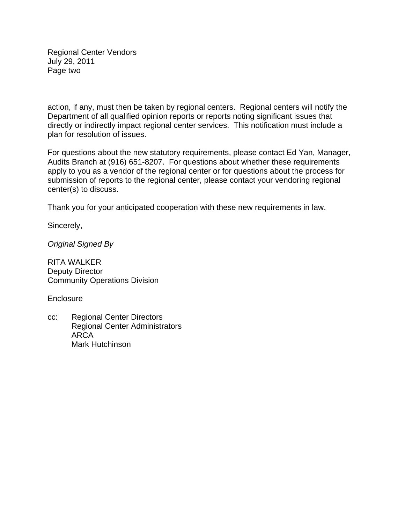Regional Center Vendors July 29, 2011 Page two

action, if any, must then be taken by regional centers. Regional centers will notify the Department of all qualified opinion reports or reports noting significant issues that directly or indirectly impact regional center services. This notification must include a plan for resolution of issues.

For questions about the new statutory requirements, please contact Ed Yan, Manager, Audits Branch at (916) 651-8207. For questions about whether these requirements apply to you as a vendor of the regional center or for questions about the process for submission of reports to the regional center, please contact your vendoring regional center(s) to discuss.

Thank you for your anticipated cooperation with these new requirements in law.

Sincerely,

*Original Signed By* 

RITA WALKER Deputy Director Community Operations Division

**Enclosure** 

cc: Regional Center Directors Regional Center Administrators ARCA Mark Hutchinson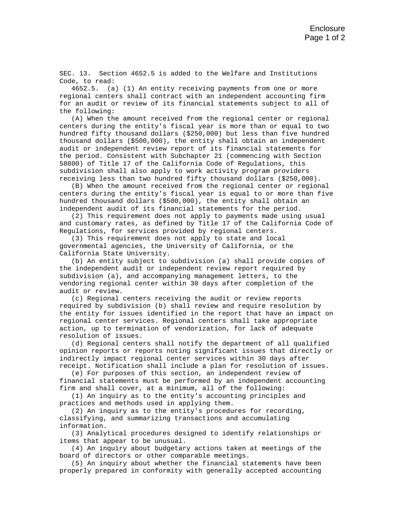SEC. 13. Section 4652.5 is added to the Welfare and Institutions Code, to read:

4652.5. (a) (1) An entity receiving payments from one or more regional centers shall contract with an independent accounting firm for an audit or review of its financial statements subject to all of the following:

(A) When the amount received from the regional center or regional centers during the entity's fiscal year is more than or equal to two hundred fifty thousand dollars (\$250,000) but less than five hundred thousand dollars (\$500,000), the entity shall obtain an independent audit or independent review report of its financial statements for the period. Consistent with Subchapter 21 (commencing with Section 58800) of Title 17 of the California Code of Regulations, this subdivision shall also apply to work activity program providers receiving less than two hundred fifty thousand dollars (\$250,000).

(B) When the amount received from the regional center or regional centers during the entity's fiscal year is equal to or more than five hundred thousand dollars (\$500,000), the entity shall obtain an independent audit of its financial statements for the period.

(2) This requirement does not apply to payments made using usual and customary rates, as defined by Title 17 of the California Code of Regulations, for services provided by regional centers.

(3) This requirement does not apply to state and local governmental agencies, the University of California, or the California State University.

(b) An entity subject to subdivision (a) shall provide copies of the independent audit or independent review report required by subdivision (a), and accompanying management letters, to the vendoring regional center within 30 days after completion of the audit or review.

(c) Regional centers receiving the audit or review reports required by subdivision (b) shall review and require resolution by the entity for issues identified in the report that have an impact on regional center services. Regional centers shall take appropriate action, up to termination of vendorization, for lack of adequate resolution of issues.

(d) Regional centers shall notify the department of all qualified opinion reports or reports noting significant issues that directly or indirectly impact regional center services within 30 days after receipt. Notification shall include a plan for resolution of issues.

(e) For purposes of this section, an independent review of financial statements must be performed by an independent accounting firm and shall cover, at a minimum, all of the following:

(1) An inquiry as to the entity's accounting principles and practices and methods used in applying them.

(2) An inquiry as to the entity's procedures for recording, classifying, and summarizing transactions and accumulating information.

(3) Analytical procedures designed to identify relationships or items that appear to be unusual.

(4) An inquiry about budgetary actions taken at meetings of the board of directors or other comparable meetings.

(5) An inquiry about whether the financial statements have been properly prepared in conformity with generally accepted accounting